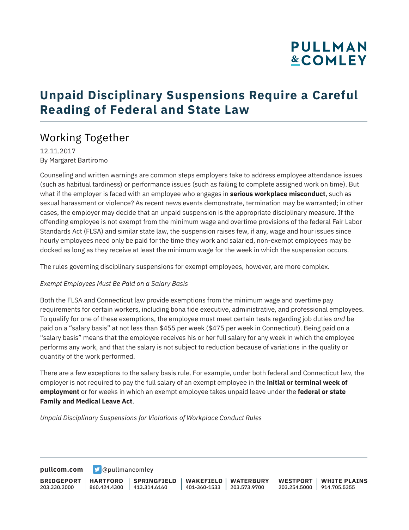## **PULLMAN &COMLEY**

## **Unpaid Disciplinary Suspensions Require a Careful Reading of Federal and State Law**

### Working Together

12.11.2017 By Margaret Bartiromo

Counseling and written warnings are common steps employers take to address employee attendance issues (such as habitual tardiness) or performance issues (such as failing to complete assigned work on time). But what if the employer is faced with an employee who engages in **serious workplace misconduct**, such as sexual harassment or violence? As recent news events demonstrate, termination may be warranted; in other cases, the employer may decide that an unpaid suspension is the appropriate disciplinary measure. If the offending employee is not exempt from the minimum wage and overtime provisions of the federal Fair Labor Standards Act (FLSA) and similar state law, the suspension raises few, if any, wage and hour issues since hourly employees need only be paid for the time they work and salaried, non-exempt employees may be docked as long as they receive at least the minimum wage for the week in which the suspension occurs.

The rules governing disciplinary suspensions for exempt employees, however, are more complex.

#### *Exempt Employees Must Be Paid on a Salary Basis*

Both the FLSA and Connecticut law provide exemptions from the minimum wage and overtime pay requirements for certain workers, including bona fide executive, administrative, and professional employees. To qualify for one of these exemptions, the employee must meet certain tests regarding job duties *and* be paid on a "salary basis" at not less than \$455 per week (\$475 per week in Connecticut). Being paid on a "salary basis" means that the employee receives his or her full salary for any week in which the employee performs any work, and that the salary is not subject to reduction because of variations in the quality or quantity of the work performed.

There are a few exceptions to the salary basis rule. For example, under both federal and Connecticut law, the employer is not required to pay the full salary of an exempt employee in the **initial or terminal week of employment** or for weeks in which an exempt employee takes unpaid leave under the **federal or state Family and Medical Leave Act**.

*Unpaid Disciplinary Suspensions for Violations of Workplace Conduct Rules*

**[pullcom.com](https://www.pullcom.com) g** [@pullmancomley](https://twitter.com/PullmanComley)

**BRIDGEPORT** 203.330.2000 **HARTFORD** 860.424.4300 413.314.6160 **SPRINGFIELD WAKEFIELD WATERBURY** 401-360-1533 203.573.9700 **WESTPORT WHITE PLAINS** 203.254.5000 914.705.5355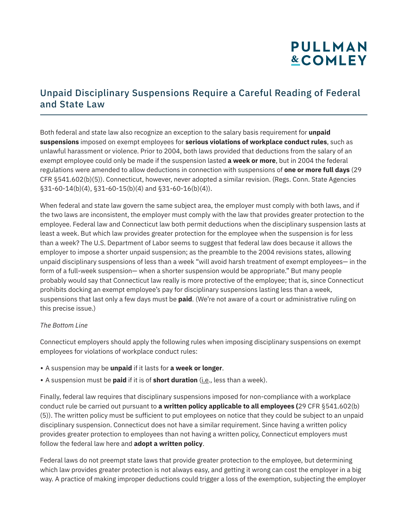# **PULLMAN &COMLEY**

#### Unpaid Disciplinary Suspensions Require a Careful Reading of Federal and State Law

Both federal and state law also recognize an exception to the salary basis requirement for **unpaid suspensions** imposed on exempt employees for **serious violations of workplace conduct rules**, such as unlawful harassment or violence. Prior to 2004, both laws provided that deductions from the salary of an exempt employee could only be made if the suspension lasted **a week or more**, but in 2004 the federal regulations were amended to allow deductions in connection with suspensions of **one or more full days** (29 CFR §541.602(b)(5)). Connecticut, however, never adopted a similar revision. (Regs. Conn. State Agencies  $§31-60-14(b)(4), §31-60-15(b)(4)$  and  $§31-60-16(b)(4)$ .

When federal and state law govern the same subject area, the employer must comply with both laws, and if the two laws are inconsistent, the employer must comply with the law that provides greater protection to the employee. Federal law and Connecticut law both permit deductions when the disciplinary suspension lasts at least a week. But which law provides greater protection for the employee when the suspension is for less than a week? The U.S. Department of Labor seems to suggest that federal law does because it allows the employer to impose a shorter unpaid suspension; as the preamble to the 2004 revisions states, allowing unpaid disciplinary suspensions of less than a week "will avoid harsh treatment of exempt employees— in the form of a full-week suspension— when a shorter suspension would be appropriate." But many people probably would say that Connecticut law really is more protective of the employee; that is, since Connecticut prohibits docking an exempt employee's pay for disciplinary suspensions lasting less than a week, suspensions that last only a few days must be **paid**. (We're not aware of a court or administrative ruling on this precise issue.)

#### *The Bottom Line*

Connecticut employers should apply the following rules when imposing disciplinary suspensions on exempt employees for violations of workplace conduct rules:

- A suspension may be **unpaid** if it lasts for **a week or longer**.
- A suspension must be **paid** if it is of **short duration** (i.e., less than a week).

Finally, federal law requires that disciplinary suspensions imposed for non-compliance with a workplace conduct rule be carried out pursuant to **a written policy applicable to all employees (**29 CFR §541.602(b) (5)). The written policy must be sufficient to put employees on notice that they could be subject to an unpaid disciplinary suspension. Connecticut does not have a similar requirement. Since having a written policy provides greater protection to employees than not having a written policy, Connecticut employers must follow the federal law here and **adopt a written policy**.

Federal laws do not preempt state laws that provide greater protection to the employee, but determining which law provides greater protection is not always easy, and getting it wrong can cost the employer in a big way. A practice of making improper deductions could trigger a loss of the exemption, subjecting the employer